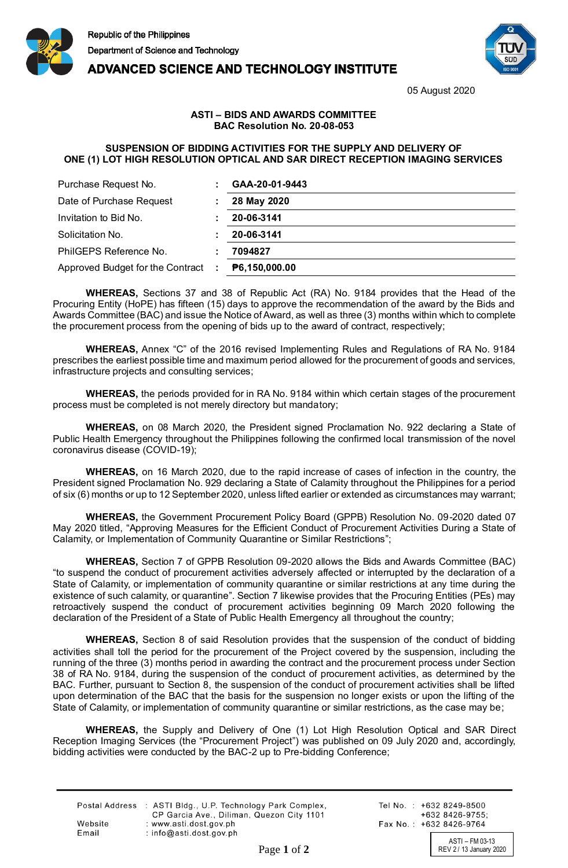

## **ADVANCED SCIENCE AND TECHNOLOGY INSTITUTE**



05 August 2020

## **ASTI – BIDS AND AWARDS COMMITTEE BAC Resolution No. 20-08-053**

## **SUSPENSION OF BIDDING ACTIVITIES FOR THE SUPPLY AND DELIVERY OF ONE (1) LOT HIGH RESOLUTION OPTICAL AND SAR DIRECT RECEPTION IMAGING SERVICES**

| Purchase Request No.               | GAA-20-01-9443 |
|------------------------------------|----------------|
| Date of Purchase Request           | 28 May 2020    |
| Invitation to Bid No.              | 20-06-3141     |
| Solicitation No.                   | 20-06-3141     |
| PhilGEPS Reference No.             | 7094827        |
| Approved Budget for the Contract : | P6,150,000.00  |

**WHEREAS,** Sections 37 and 38 of Republic Act (RA) No. 9184 provides that the Head of the Procuring Entity (HoPE) has fifteen (15) days to approve the recommendation of the award by the Bids and Awards Committee (BAC) and issue the Notice of Award, as well as three (3) months within which to complete the procurement process from the opening of bids up to the award of contract, respectively;

**WHEREAS,** Annex "C" of the 2016 revised Implementing Rules and Regulations of RA No. 9184 prescribes the earliest possible time and maximum period allowed for the procurement of goods and services, infrastructure projects and consulting services;

**WHEREAS,** the periods provided for in RA No. 9184 within which certain stages of the procurement process must be completed is not merely directory but mandatory;

**WHEREAS,** on 08 March 2020, the President signed Proclamation No. 922 declaring a State of Public Health Emergency throughout the Philippines following the confirmed local transmission of the novel coronavirus disease (COVID-19);

**WHEREAS,** on 16 March 2020, due to the rapid increase of cases of infection in the country, the President signed Proclamation No. 929 declaring a State of Calamity throughout the Philippines for a period of six (6) months or up to 12 September 2020, unless lifted earlier or extended as circumstances may warrant;

**WHEREAS,** the Government Procurement Policy Board (GPPB) Resolution No. 09-2020 dated 07 May 2020 titled, "Approving Measures for the Efficient Conduct of Procurement Activities During a State of Calamity, or Implementation of Community Quarantine or Similar Restrictions";

**WHEREAS,** Section 7 of GPPB Resolution 09-2020 allows the Bids and Awards Committee (BAC) "to suspend the conduct of procurement activities adversely affected or interrupted by the declaration of a State of Calamity, or implementation of community quarantine or similar restrictions at any time during the existence of such calamity, or quarantine". Section 7 likewise provides that the Procuring Entities (PEs) may retroactively suspend the conduct of procurement activities beginning 09 March 2020 following the declaration of the President of a State of Public Health Emergency all throughout the country;

**WHEREAS,** Section 8 of said Resolution provides that the suspension of the conduct of bidding activities shall toll the period for the procurement of the Project covered by the suspension, including the running of the three (3) months period in awarding the contract and the procurement process under Section 38 of RA No. 9184, during the suspension of the conduct of procurement activities, as determined by the BAC. Further, pursuant to Section 8, the suspension of the conduct of procurement activities shall be lifted upon determination of the BAC that the basis for the suspension no longer exists or upon the lifting of the State of Calamity, or implementation of community quarantine or similar restrictions, as the case may be;

**WHEREAS,** the Supply and Delivery of One (1) Lot High Resolution Optical and SAR Direct Reception Imaging Services (the "Procurement Project") was published on 09 July 2020 and, accordingly, bidding activities were conducted by the BAC-2 up to Pre-bidding Conference;

|         | Postal Address : ASTI Bldg., U.P. Technology Park Complex, |
|---------|------------------------------------------------------------|
|         | CP Garcia Ave., Diliman, Quezon City 1101                  |
| Website | : www.asti.dost.gov.ph                                     |
| Email   | : info@asti.dost.gov.ph                                    |

Tel No.: +632 8249-8500  $+6328426-9755$ Fax No.: +632 8426-9764

ASTI – FM 03-13<br>REV 2/13 January 2020